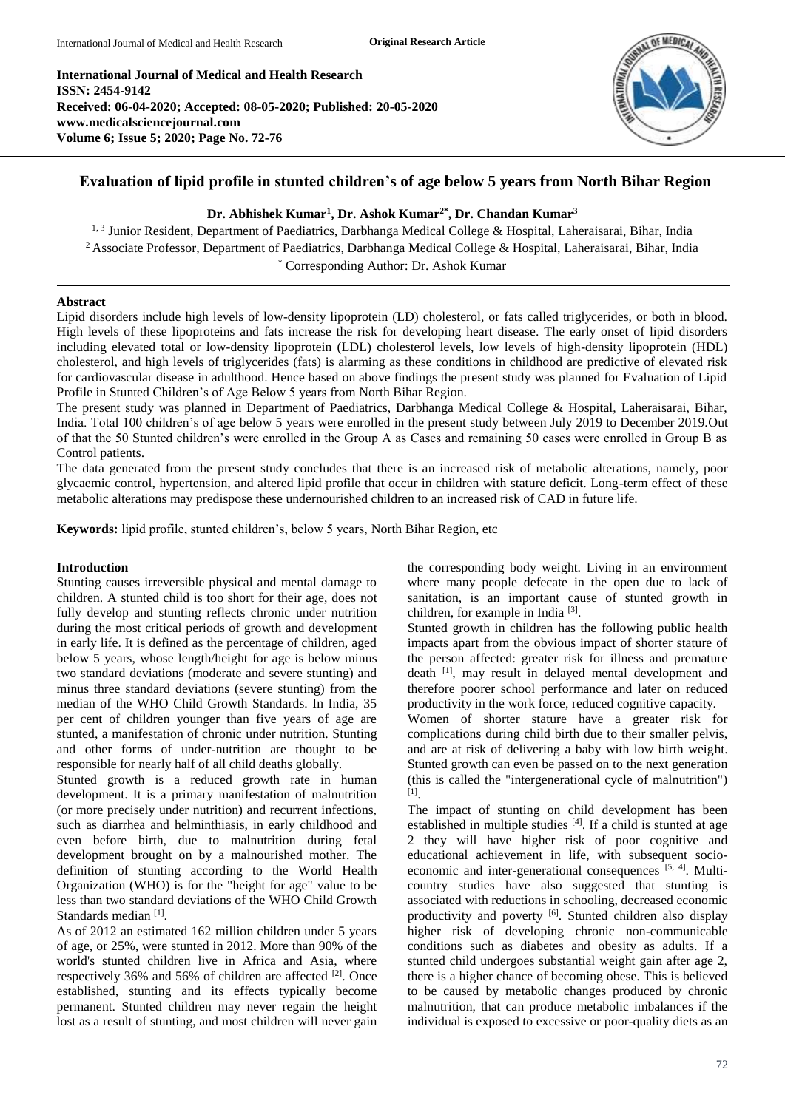**International Journal of Medical and Health Research ISSN: 2454-9142 Received: 06-04-2020; Accepted: 08-05-2020; Published: 20-05-2020 www.medicalsciencejournal.com Volume 6; Issue 5; 2020; Page No. 72-76**



# **Evaluation of lipid profile in stunted children's of age below 5 years from North Bihar Region**

## **Dr. Abhishek Kumar<sup>1</sup> , Dr. Ashok Kumar2\* , Dr. Chandan Kumar<sup>3</sup>**

<sup>1, 3</sup> Junior Resident, Department of Paediatrics, Darbhanga Medical College & Hospital, Laheraisarai, Bihar, India <sup>2</sup> Associate Professor, Department of Paediatrics, Darbhanga Medical College & Hospital, Laheraisarai, Bihar, India \* Corresponding Author: Dr. Ashok Kumar

#### **Abstract**

Lipid disorders include high levels of low-density lipoprotein (LD) cholesterol, or fats called triglycerides, or both in blood. High levels of these lipoproteins and fats increase the risk for developing heart disease. The early onset of lipid disorders including elevated total or low-density lipoprotein (LDL) cholesterol levels, low levels of high-density lipoprotein (HDL) cholesterol, and high levels of triglycerides (fats) is alarming as these conditions in childhood are predictive of elevated risk for cardiovascular disease in adulthood. Hence based on above findings the present study was planned for Evaluation of Lipid Profile in Stunted Children's of Age Below 5 years from North Bihar Region.

The present study was planned in Department of Paediatrics, Darbhanga Medical College & Hospital, Laheraisarai, Bihar, India. Total 100 children's of age below 5 years were enrolled in the present study between July 2019 to December 2019.Out of that the 50 Stunted children's were enrolled in the Group A as Cases and remaining 50 cases were enrolled in Group B as Control patients.

The data generated from the present study concludes that there is an increased risk of metabolic alterations, namely, poor glycaemic control, hypertension, and altered lipid profile that occur in children with stature deficit. Long-term effect of these metabolic alterations may predispose these undernourished children to an increased risk of CAD in future life.

**Keywords:** lipid profile, stunted children's, below 5 years, North Bihar Region, etc

### **Introduction**

Stunting causes irreversible physical and mental damage to children. A stunted child is too short for their age, does not fully develop and stunting reflects chronic under nutrition during the most critical periods of growth and development in early life. It is defined as the percentage of children, aged below 5 years, whose length/height for age is below minus two standard deviations (moderate and severe stunting) and minus three standard deviations (severe stunting) from the median of the WHO Child Growth Standards. In India, 35 per cent of children younger than five years of age are stunted, a manifestation of chronic under nutrition. Stunting and other forms of under-nutrition are thought to be responsible for nearly half of all child deaths globally.

Stunted growth is a reduced growth rate in human development. It is a primary manifestation of malnutrition (or more precisely under nutrition) and recurrent infections, such as diarrhea and helminthiasis, in early childhood and even before birth, due to malnutrition during fetal development brought on by a malnourished mother. The definition of stunting according to the World Health Organization (WHO) is for the "height for age" value to be less than two standard deviations of the WHO Child Growth Standards median<sup>[1]</sup>.

As of 2012 an estimated 162 million children under 5 years of age, or 25%, were stunted in 2012. More than 90% of the world's stunted children live in Africa and Asia, where respectively 36% and 56% of children are affected <sup>[2]</sup>. Once established, stunting and its effects typically become permanent. Stunted children may never regain the height lost as a result of stunting, and most children will never gain

the corresponding body weight. Living in an environment where many people defecate in the open due to lack of sanitation, is an important cause of stunted growth in children, for example in India<sup>[3]</sup>.

Stunted growth in children has the following public health impacts apart from the obvious impact of shorter stature of the person affected: greater risk for illness and premature death [1], may result in delayed mental development and therefore poorer school performance and later on reduced productivity in the work force, reduced cognitive capacity.

Women of shorter stature have a greater risk for complications during child birth due to their smaller pelvis, and are at risk of delivering a baby with low birth weight. Stunted growth can even be passed on to the next generation (this is called the "intergenerational cycle of malnutrition") [1] .

The impact of stunting on child development has been established in multiple studies [4]. If a child is stunted at age 2 they will have higher risk of poor cognitive and educational achievement in life, with subsequent socioeconomic and inter-generational consequences [5, 4]. Multicountry studies have also suggested that stunting is associated with reductions in schooling, decreased economic productivity and poverty [6]. Stunted children also display higher risk of developing chronic non-communicable conditions such as diabetes and obesity as adults. If a stunted child undergoes substantial weight gain after age 2, there is a higher chance of becoming obese. This is believed to be caused by metabolic changes produced by chronic malnutrition, that can produce metabolic imbalances if the individual is exposed to excessive or poor-quality diets as an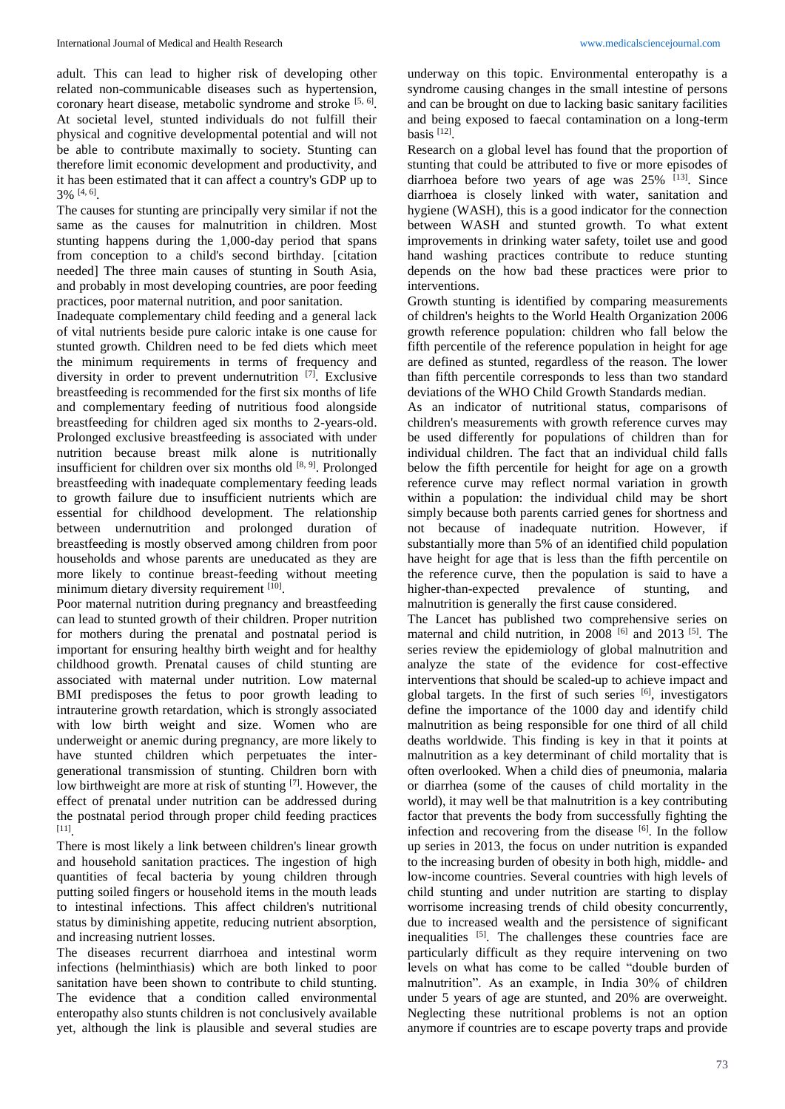adult. This can lead to higher risk of developing other related non-communicable diseases such as hypertension, coronary heart disease, metabolic syndrome and stroke  $[5, 6]$ . At societal level, stunted individuals do not fulfill their physical and cognitive developmental potential and will not be able to contribute maximally to society. Stunting can therefore limit economic development and productivity, and it has been estimated that it can affect a country's GDP up to 3% [4, 6] .

The causes for stunting are principally very similar if not the same as the causes for malnutrition in children. Most stunting happens during the 1,000-day period that spans from conception to a child's second birthday. [citation needed] The three main causes of stunting in South Asia, and probably in most developing countries, are poor feeding practices, poor maternal nutrition, and poor sanitation.

Inadequate complementary child feeding and a general lack of vital nutrients beside pure caloric intake is one cause for stunted growth. Children need to be fed diets which meet the minimum requirements in terms of frequency and diversity in order to prevent undernutrition [7] . Exclusive breastfeeding is recommended for the first six months of life and complementary feeding of nutritious food alongside breastfeeding for children aged six months to 2-years-old. Prolonged exclusive breastfeeding is associated with under nutrition because breast milk alone is nutritionally insufficient for children over six months old  $[8, 9]$ . Prolonged breastfeeding with inadequate complementary feeding leads to growth failure due to insufficient nutrients which are essential for childhood development. The relationship between undernutrition and prolonged duration of breastfeeding is mostly observed among children from poor households and whose parents are uneducated as they are more likely to continue breast-feeding without meeting minimum dietary diversity requirement [10].

Poor maternal nutrition during pregnancy and breastfeeding can lead to stunted growth of their children. Proper nutrition for mothers during the prenatal and postnatal period is important for ensuring healthy birth weight and for healthy childhood growth. Prenatal causes of child stunting are associated with maternal under nutrition. Low maternal BMI predisposes the fetus to poor growth leading to intrauterine growth retardation, which is strongly associated with low birth weight and size. Women who are underweight or anemic during pregnancy, are more likely to have stunted children which perpetuates the intergenerational transmission of stunting. Children born with low birthweight are more at risk of stunting [7]. However, the effect of prenatal under nutrition can be addressed during the postnatal period through proper child feeding practices [11] .

There is most likely a link between children's linear growth and household sanitation practices. The ingestion of high quantities of fecal bacteria by young children through putting soiled fingers or household items in the mouth leads to intestinal infections. This affect children's nutritional status by diminishing appetite, reducing nutrient absorption, and increasing nutrient losses.

The diseases recurrent diarrhoea and intestinal worm infections (helminthiasis) which are both linked to poor sanitation have been shown to contribute to child stunting. The evidence that a condition called environmental enteropathy also stunts children is not conclusively available yet, although the link is plausible and several studies are

underway on this topic. Environmental enteropathy is a syndrome causing changes in the small intestine of persons and can be brought on due to lacking basic sanitary facilities and being exposed to faecal contamination on a long-term basis  $[12]$ .

Research on a global level has found that the proportion of stunting that could be attributed to five or more episodes of diarrhoea before two years of age was  $25\%$  <sup>[13]</sup>. Since diarrhoea is closely linked with water, sanitation and hygiene (WASH), this is a good indicator for the connection between WASH and stunted growth. To what extent improvements in drinking water safety, toilet use and good hand washing practices contribute to reduce stunting depends on the how bad these practices were prior to interventions.

Growth stunting is identified by comparing measurements of children's heights to the World Health Organization 2006 growth reference population: children who fall below the fifth percentile of the reference population in height for age are defined as stunted, regardless of the reason. The lower than fifth percentile corresponds to less than two standard deviations of the WHO Child Growth Standards median.

As an indicator of nutritional status, comparisons of children's measurements with growth reference curves may be used differently for populations of children than for individual children. The fact that an individual child falls below the fifth percentile for height for age on a growth reference curve may reflect normal variation in growth within a population: the individual child may be short simply because both parents carried genes for shortness and not because of inadequate nutrition. However, if substantially more than 5% of an identified child population have height for age that is less than the fifth percentile on the reference curve, then the population is said to have a higher-than-expected prevalence of stunting, and malnutrition is generally the first cause considered.

The Lancet has published two comprehensive series on maternal and child nutrition, in 2008  $^{[6]}$  and 2013 <sup>[5]</sup>. The series review the epidemiology of global malnutrition and analyze the state of the evidence for cost-effective interventions that should be scaled-up to achieve impact and global targets. In the first of such series [6], investigators define the importance of the 1000 day and identify child malnutrition as being responsible for one third of all child deaths worldwide. This finding is key in that it points at malnutrition as a key determinant of child mortality that is often overlooked. When a child dies of pneumonia, malaria or diarrhea (some of the causes of child mortality in the world), it may well be that malnutrition is a key contributing factor that prevents the body from successfully fighting the infection and recovering from the disease [6]. In the follow up series in 2013, the focus on under nutrition is expanded to the increasing burden of obesity in both high, middle- and low-income countries. Several countries with high levels of child stunting and under nutrition are starting to display worrisome increasing trends of child obesity concurrently, due to increased wealth and the persistence of significant inequalities [5]. The challenges these countries face are particularly difficult as they require intervening on two levels on what has come to be called "double burden of malnutrition". As an example, in India 30% of children under 5 years of age are stunted, and 20% are overweight. Neglecting these nutritional problems is not an option anymore if countries are to escape poverty traps and provide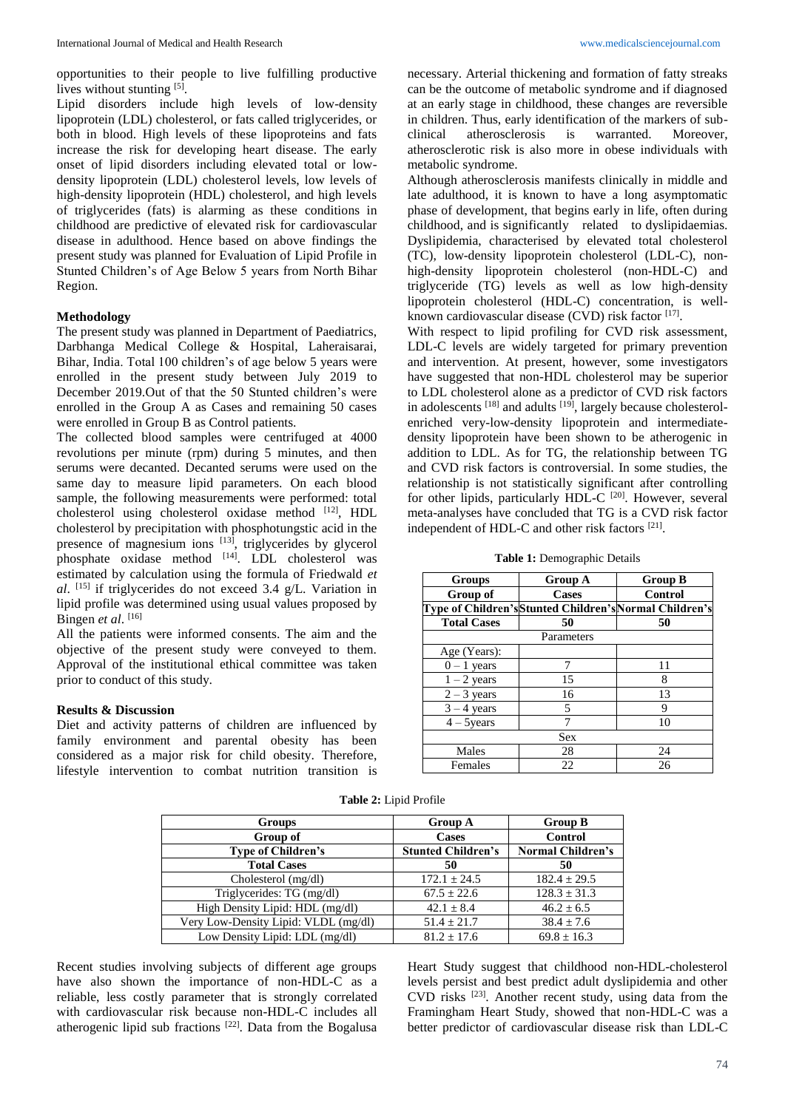opportunities to their people to live fulfilling productive lives without stunting [5].

Lipid disorders include high levels of low-density lipoprotein (LDL) cholesterol, or fats called triglycerides, or both in blood. High levels of these lipoproteins and fats increase the risk for developing heart disease. The early onset of lipid disorders including elevated total or lowdensity lipoprotein (LDL) cholesterol levels, low levels of high-density lipoprotein (HDL) cholesterol, and high levels of triglycerides (fats) is alarming as these conditions in childhood are predictive of elevated risk for cardiovascular disease in adulthood. Hence based on above findings the present study was planned for Evaluation of Lipid Profile in Stunted Children's of Age Below 5 years from North Bihar Region.

#### **Methodology**

The present study was planned in Department of Paediatrics, Darbhanga Medical College & Hospital, Laheraisarai, Bihar, India. Total 100 children's of age below 5 years were enrolled in the present study between July 2019 to December 2019.Out of that the 50 Stunted children's were enrolled in the Group A as Cases and remaining 50 cases were enrolled in Group B as Control patients.

The collected blood samples were centrifuged at 4000 revolutions per minute (rpm) during 5 minutes, and then serums were decanted. Decanted serums were used on the same day to measure lipid parameters. On each blood sample, the following measurements were performed: total cholesterol using cholesterol oxidase method [12], HDL cholesterol by precipitation with phosphotungstic acid in the presence of magnesium ions [13], triglycerides by glycerol phosphate oxidase method [14]. LDL cholesterol was estimated by calculation using the formula of Friedwald *et al*. [15] if triglycerides do not exceed 3.4 g/L. Variation in lipid profile was determined using usual values proposed by Bingen et al.<sup>[16]</sup>

All the patients were informed consents. The aim and the objective of the present study were conveyed to them. Approval of the institutional ethical committee was taken prior to conduct of this study.

#### **Results & Discussion**

Diet and activity patterns of children are influenced by family environment and parental obesity has been considered as a major risk for child obesity. Therefore, lifestyle intervention to combat nutrition transition is

necessary. Arterial thickening and formation of fatty streaks can be the outcome of metabolic syndrome and if diagnosed at an early stage in childhood, these changes are reversible in children. Thus, early identification of the markers of sub-<br>clinical atherosclerosis is warranted. Moreover, clinical atherosclerosis is warranted. Moreover, atherosclerotic risk is also more in obese individuals with metabolic syndrome.

Although atherosclerosis manifests clinically in middle and late adulthood, it is known to have a long asymptomatic phase of development, that begins early in life, often during childhood, and is significantly related to dyslipidaemias. Dyslipidemia, characterised by elevated total cholesterol (TC), low-density lipoprotein cholesterol (LDL-C), nonhigh-density lipoprotein cholesterol (non-HDL-C) and triglyceride (TG) levels as well as low high-density lipoprotein cholesterol (HDL-C) concentration, is wellknown cardiovascular disease (CVD) risk factor [17].

With respect to lipid profiling for CVD risk assessment, LDL-C levels are widely targeted for primary prevention and intervention. At present, however, some investigators have suggested that non-HDL cholesterol may be superior to LDL cholesterol alone as a predictor of CVD risk factors in adolescents  $^{[18]}$  and adults  $^{[19]}$ , largely because cholesterolenriched very-low-density lipoprotein and intermediatedensity lipoprotein have been shown to be atherogenic in addition to LDL. As for TG, the relationship between TG and CVD risk factors is controversial. In some studies, the relationship is not statistically significant after controlling for other lipids, particularly HDL-C<sup>[20]</sup>. However, several meta-analyses have concluded that TG is a CVD risk factor independent of HDL-C and other risk factors [21].

**Table 1:** Demographic Details

| <b>Groups</b>                                           | <b>Group A</b> | <b>Group B</b> |  |
|---------------------------------------------------------|----------------|----------------|--|
| Group of                                                | <b>Cases</b>   | Control        |  |
| Type of Children's Stunted Children's Normal Children's |                |                |  |
| <b>Total Cases</b>                                      | 50             | 50             |  |
| Parameters                                              |                |                |  |
| Age (Years):                                            |                |                |  |
| $0 - 1$ years                                           | 7              | 11             |  |
| $1 - 2$ years                                           | 15             | 8              |  |
| $2 - 3$ years                                           | 16             | 13             |  |
| $3 - 4$ years                                           | 5              | 9              |  |
| $4 - 5$ vears                                           | 7              | 10             |  |
| Sex                                                     |                |                |  |
| Males                                                   | 28             | 24             |  |
| Females                                                 | 22             | 26             |  |

**Table 2:** Lipid Profile

| Groups                               | <b>Group A</b>            | <b>Group B</b>           |
|--------------------------------------|---------------------------|--------------------------|
| Group of                             | <b>Cases</b>              | <b>Control</b>           |
| <b>Type of Children's</b>            | <b>Stunted Children's</b> | <b>Normal Children's</b> |
| <b>Total Cases</b>                   | 50                        | 50                       |
| Cholesterol (mg/dl)                  | $172.1 \pm 24.5$          | $182.4 \pm 29.5$         |
| Triglycerides: TG (mg/dl)            | $67.5 \pm 22.6$           | $128.3 \pm 31.3$         |
| High Density Lipid: HDL (mg/dl)      | $42.1 + 8.4$              | $46.2 \pm 6.5$           |
| Very Low-Density Lipid: VLDL (mg/dl) | $51.4 \pm 21.7$           | $38.4 \pm 7.6$           |
| Low Density Lipid: LDL (mg/dl)       | $81.2 + 17.6$             | $69.8 \pm 16.3$          |

Recent studies involving subjects of different age groups have also shown the importance of non-HDL-C as a reliable, less costly parameter that is strongly correlated with cardiovascular risk because non-HDL-C includes all atherogenic lipid sub fractions<sup>[22]</sup>. Data from the Bogalusa Heart Study suggest that childhood non-HDL-cholesterol levels persist and best predict adult dyslipidemia and other CVD risks [23] . Another recent study, using data from the Framingham Heart Study, showed that non-HDL-C was a better predictor of cardiovascular disease risk than LDL-C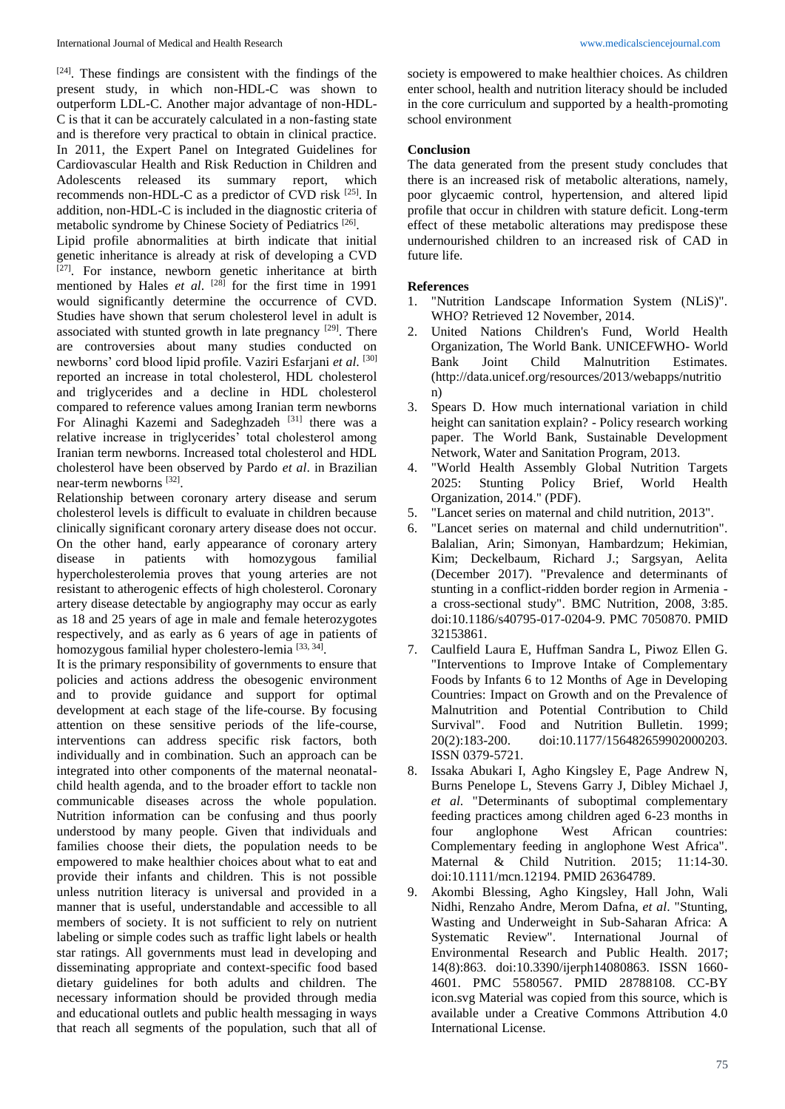$[24]$ . These findings are consistent with the findings of the present study, in which non-HDL-C was shown to outperform LDL-C. Another major advantage of non-HDL-C is that it can be accurately calculated in a non-fasting state and is therefore very practical to obtain in clinical practice. In 2011, the Expert Panel on Integrated Guidelines for Cardiovascular Health and Risk Reduction in Children and Adolescents released its summary report, which recommends non-HDL-C as a predictor of CVD risk [25] . In addition, non-HDL-C is included in the diagnostic criteria of metabolic syndrome by Chinese Society of Pediatrics<sup>[26]</sup>.

Lipid profile abnormalities at birth indicate that initial genetic inheritance is already at risk of developing a CVD  $[27]$ . For instance, newborn genetic inheritance at birth mentioned by Hales *et al*. [28] for the first time in 1991 would significantly determine the occurrence of CVD. Studies have shown that serum cholesterol level in adult is associated with stunted growth in late pregnancy <sup>[29]</sup>. There are controversies about many studies conducted on newborns' cord blood lipid profile. Vaziri Esfarjani *et al*. [30] reported an increase in total cholesterol, HDL cholesterol and triglycerides and a decline in HDL cholesterol compared to reference values among Iranian term newborns For Alinaghi Kazemi and Sadeghzadeh [31] there was a relative increase in triglycerides' total cholesterol among Iranian term newborns. Increased total cholesterol and HDL cholesterol have been observed by Pardo *et al*. in Brazilian near-term newborns [32].

Relationship between coronary artery disease and serum cholesterol levels is difficult to evaluate in children because clinically significant coronary artery disease does not occur. On the other hand, early appearance of coronary artery<br>disease in patients with homozygous familial disease in patients with homozygous familial hypercholesterolemia proves that young arteries are not resistant to atherogenic effects of high cholesterol. Coronary artery disease detectable by angiography may occur as early as 18 and 25 years of age in male and female heterozygotes respectively, and as early as 6 years of age in patients of homozygous familial hyper cholestero-lemia <a>[33, 34]</a>.

It is the primary responsibility of governments to ensure that policies and actions address the obesogenic environment and to provide guidance and support for optimal development at each stage of the life-course. By focusing attention on these sensitive periods of the life-course, interventions can address specific risk factors, both individually and in combination. Such an approach can be integrated into other components of the maternal neonatalchild health agenda, and to the broader effort to tackle non communicable diseases across the whole population. Nutrition information can be confusing and thus poorly understood by many people. Given that individuals and families choose their diets, the population needs to be empowered to make healthier choices about what to eat and provide their infants and children. This is not possible unless nutrition literacy is universal and provided in a manner that is useful, understandable and accessible to all members of society. It is not sufficient to rely on nutrient labeling or simple codes such as traffic light labels or health star ratings. All governments must lead in developing and disseminating appropriate and context-specific food based dietary guidelines for both adults and children. The necessary information should be provided through media and educational outlets and public health messaging in ways that reach all segments of the population, such that all of

society is empowered to make healthier choices. As children enter school, health and nutrition literacy should be included in the core curriculum and supported by a health-promoting school environment

#### **Conclusion**

The data generated from the present study concludes that there is an increased risk of metabolic alterations, namely, poor glycaemic control, hypertension, and altered lipid profile that occur in children with stature deficit. Long-term effect of these metabolic alterations may predispose these undernourished children to an increased risk of CAD in future life.

### **References**

- 1. "Nutrition Landscape Information System (NLiS)". WHO? Retrieved 12 November, 2014.
- 2. United Nations Children's Fund, World Health Organization, The World Bank. UNICEFWHO- World Bank Joint Child Malnutrition Estimates. (http://data.unicef.org/resources/2013/webapps/nutritio n)
- 3. Spears D. How much international variation in child height can sanitation explain? - Policy research working paper. The World Bank, Sustainable Development Network, Water and Sanitation Program, 2013.
- 4. "World Health Assembly Global Nutrition Targets 2025: Stunting Policy Brief, World Health Organization, 2014." (PDF).
- 5. "Lancet series on maternal and child nutrition, 2013".
- 6. "Lancet series on maternal and child undernutrition". Balalian, Arin; Simonyan, Hambardzum; Hekimian, Kim; Deckelbaum, Richard J.; Sargsyan, Aelita (December 2017). "Prevalence and determinants of stunting in a conflict-ridden border region in Armenia a cross-sectional study". BMC Nutrition, 2008, 3:85. doi:10.1186/s40795-017-0204-9. PMC 7050870. PMID 32153861.
- 7. Caulfield Laura E, Huffman Sandra L, Piwoz Ellen G. "Interventions to Improve Intake of Complementary Foods by Infants 6 to 12 Months of Age in Developing Countries: Impact on Growth and on the Prevalence of Malnutrition and Potential Contribution to Child Survival". Food and Nutrition Bulletin. 1999; 20(2):183-200. doi:10.1177/156482659902000203. ISSN 0379-5721.
- 8. Issaka Abukari I, Agho Kingsley E, Page Andrew N, Burns Penelope L, Stevens Garry J, Dibley Michael J, *et al*. "Determinants of suboptimal complementary feeding practices among children aged 6-23 months in four anglophone West African countries: Complementary feeding in anglophone West Africa". Maternal & Child Nutrition. 2015; 11:14-30. doi:10.1111/mcn.12194. PMID 26364789.
- 9. Akombi Blessing, Agho Kingsley, Hall John, Wali Nidhi, Renzaho Andre, Merom Dafna, *et al*. "Stunting, Wasting and Underweight in Sub-Saharan Africa: A Systematic Review". International Journal of Environmental Research and Public Health. 2017; 14(8):863. doi:10.3390/ijerph14080863. ISSN 1660- 4601. PMC 5580567. PMID 28788108. CC-BY icon.svg Material was copied from this source, which is available under a Creative Commons Attribution 4.0 International License.